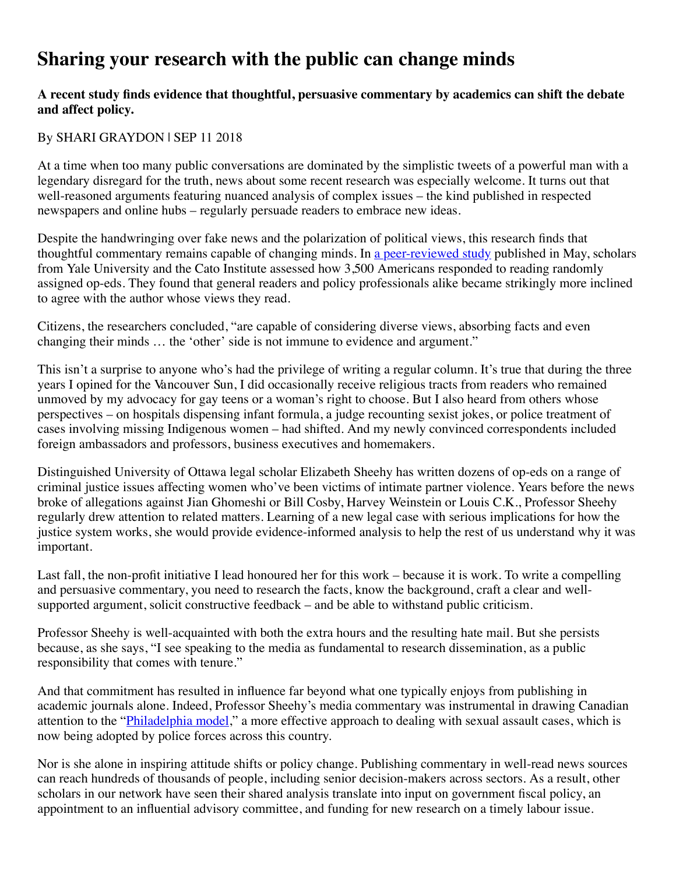## **Sharing your research with the public can change minds**

## **A recent study finds evidence that thoughtful, persuasive commentary by academics can shift the debate and affect policy.**

## By SHARI GRAYDON | SEP 11 2018

At a time when too many public conversations are dominated by the simplistic tweets of a powerful man with a legendary disregard for the truth, news about some recent research was especially welcome. It turns out that well-reasoned arguments featuring nuanced analysis of complex issues – the kind published in respected newspapers and online hubs – regularly persuade readers to embrace new ideas.

Despite the handwringing over fake news and the polarization of political views, this research finds that thoughtful commentary remains capable of changing minds. In [a peer-reviewed study](https://www.washingtonpost.com/news/monkey-cage/wp/2018/05/12/this-column-will-probably-change-your-mind-and-so-will-others/?utm_term=.b862e3190117) published in May, scholars from Yale University and the Cato Institute assessed how 3,500 Americans responded to reading randomly assigned op-eds. They found that general readers and policy professionals alike became strikingly more inclined to agree with the author whose views they read.

Citizens, the researchers concluded, "are capable of considering diverse views, absorbing facts and even changing their minds … the 'other' side is not immune to evidence and argument."

This isn't a surprise to anyone who's had the privilege of writing a regular column. It's true that during the three years I opined for the Vancouver Sun, I did occasionally receive religious tracts from readers who remained unmoved by my advocacy for gay teens or a woman's right to choose. But I also heard from others whose perspectives – on hospitals dispensing infant formula, a judge recounting sexist jokes, or police treatment of cases involving missing Indigenous women – had shifted. And my newly convinced correspondents included foreign ambassadors and professors, business executives and homemakers.

Distinguished University of Ottawa legal scholar Elizabeth Sheehy has written dozens of op-eds on a range of criminal justice issues affecting women who've been victims of intimate partner violence. Years before the news broke of allegations against Jian Ghomeshi or Bill Cosby, Harvey Weinstein or Louis C.K., Professor Sheehy regularly drew attention to related matters. Learning of a new legal case with serious implications for how the justice system works, she would provide evidence-informed analysis to help the rest of us understand why it was important.

Last fall, the non-profit initiative I lead honoured her for this work – because it is work. To write a compelling and persuasive commentary, you need to research the facts, know the background, craft a clear and wellsupported argument, solicit constructive feedback – and be able to withstand public criticism.

Professor Sheehy is well-acquainted with both the extra hours and the resulting hate mail. But she persists because, as she says, "I see speaking to the media as fundamental to research dissemination, as a public responsibility that comes with tenure."

And that commitment has resulted in influence far beyond what one typically enjoys from publishing in academic journals alone. Indeed, Professor Sheehy's media commentary was instrumental in drawing Canadian attention to the "*Philadelphia model*," a more effective approach to dealing with sexual assault cases, which is now being adopted by police forces across this country.

Nor is she alone in inspiring attitude shifts or policy change. Publishing commentary in well-read news sources can reach hundreds of thousands of people, including senior decision-makers across sectors. As a result, other scholars in our network have seen their shared analysis translate into input on government fiscal policy, an appointment to an influential advisory committee, and funding for new research on a timely labour issue.